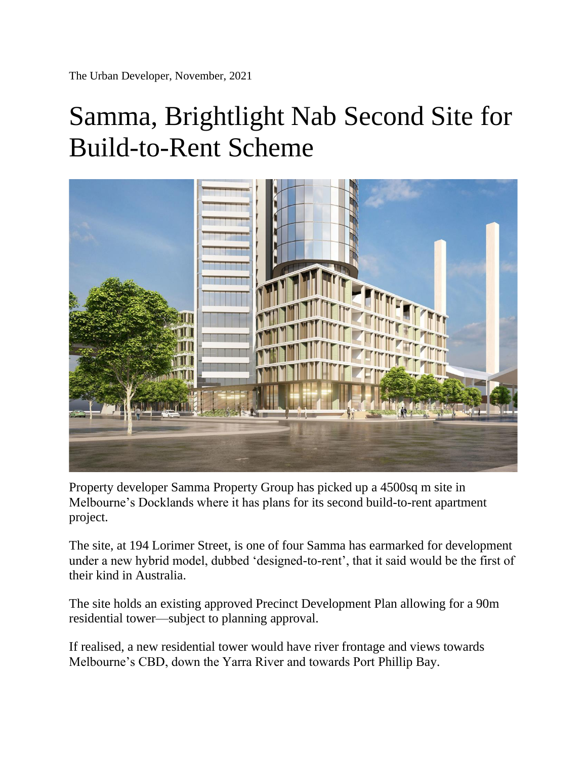The Urban Developer, November, 2021

## Samma, Brightlight Nab Second Site for Build-to-Rent Scheme



Property developer Samma Property Group has picked up a 4500sq m site in Melbourne's Docklands where it has plans for its second build-to-rent apartment project.

The site, at 194 Lorimer Street, is one of four Samma has earmarked for development under a new hybrid model, dubbed 'designed-to-rent', that it said would be the first of their kind in Australia.

The site holds an existing approved Precinct Development Plan allowing for a 90m residential tower—subject to planning approval.

If realised, a new residential tower would have river frontage and views towards Melbourne's CBD, down the Yarra River and towards Port Phillip Bay.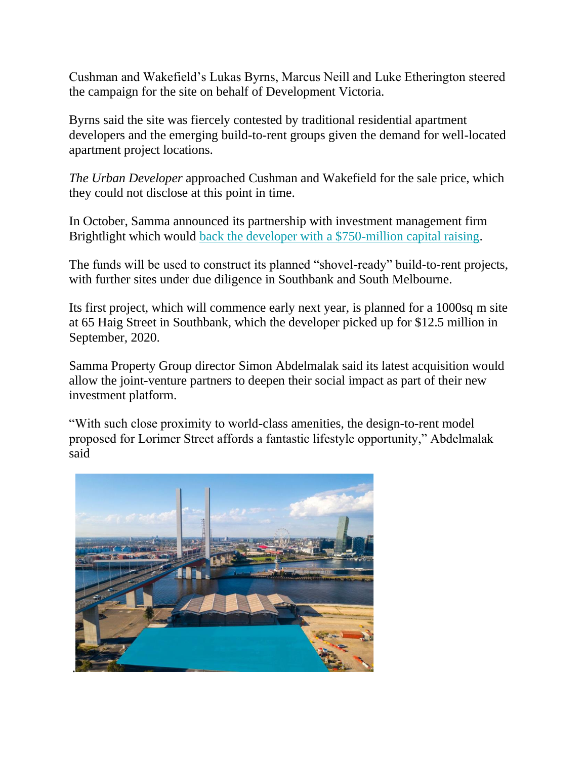Cushman and Wakefield's Lukas Byrns, Marcus Neill and Luke Etherington steered the campaign for the site on behalf of Development Victoria.

Byrns said the site was fiercely contested by traditional residential apartment developers and the emerging build-to-rent groups given the demand for well-located apartment project locations.

*The Urban Developer* approached Cushman and Wakefield for the sale price, which they could not disclose at this point in time.

In October, Samma announced its partnership with investment management firm Brightlight which would [back the developer with a \\$750-million capital raising.](https://www.theurbandeveloper.com/articles/samma-property-group-brightlight-build-to-rent-southbank-melbourne)

The funds will be used to construct its planned "shovel-ready" build-to-rent projects, with further sites under due diligence in Southbank and South Melbourne.

Its first project, which will commence early next year, is planned for a 1000sq m site at 65 Haig Street in Southbank, which the developer picked up for \$12.5 million in September, 2020.

Samma Property Group director Simon Abdelmalak said its latest acquisition would allow the joint-venture partners to deepen their social impact as part of their new investment platform.

"With such close proximity to world-class amenities, the design-to-rent model proposed for Lorimer Street affords a fantastic lifestyle opportunity," Abdelmalak said